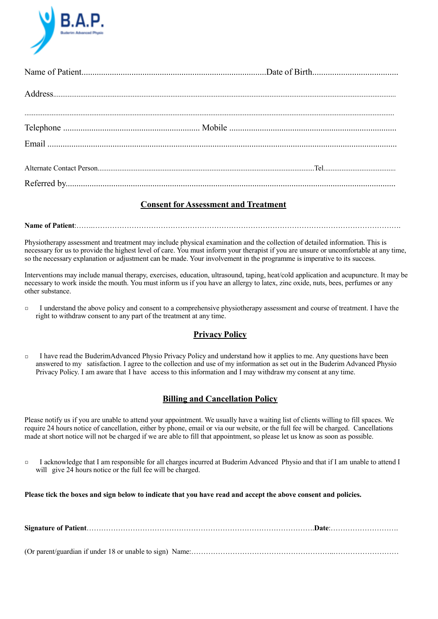

## **Consent for Assessment and Treatment**

**Name of Patient**:…….……………………………………………………………………………………………………………….

Physiotherapy assessment and treatment may include physical examination and the collection of detailed information. This is necessary for us to provide the highest level of care. You must inform your therapist if you are unsure or uncomfortable at any time, so the necessary explanation or adjustment can be made. Your involvement in the programme is imperative to its success.

Interventions may include manual therapy, exercises, education, ultrasound, taping, heat/cold application and acupuncture. It may be necessary to work inside the mouth. You must inform us if you have an allergy to latex, zinc oxide, nuts, bees, perfumes or any other substance.

□ I understand the above policy and consent to a comprehensive physiotherapy assessment and course of treatment. I have the right to withdraw consent to any part of the treatment at any time.

## **Privacy Policy**

□ I have read the BuderimAdvanced Physio Privacy Policy and understand how it applies to me. Any questions have been answered to my satisfaction. I agree to the collection and use of my information as set out in the Buderim Advanced Physio Privacy Policy. I am aware that I have access to this information and I may withdraw my consent at any time.

## **Billing and Cancellation Policy**

Please notify us if you are unable to attend your appointment. We usually have a waiting list of clients willing to fill spaces. We require 24 hours notice of cancellation, either by phone, email or via our website, or the full fee will be charged. Cancellations made at short notice will not be charged if we are able to fill that appointment, so please let us know as soon as possible.

□ I acknowledge that I am responsible for all charges incurred at Buderim Advanced Physio and that if I am unable to attend I will give 24 hours notice or the full fee will be charged.

**Please tick the boxes and sign below to indicate that you have read and accept the above consent and policies.**